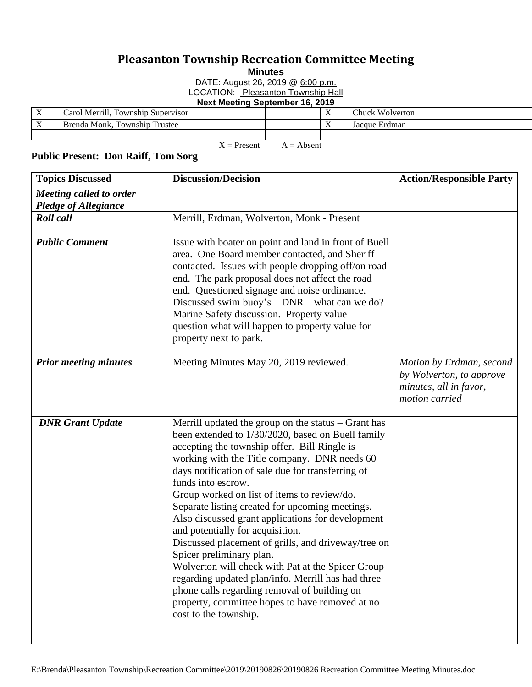## **Pleasanton Township Recreation Committee Meeting**

**Minutes**

DATE: August 26, 2019 @ 6:00 p.m.

LOCATION: Pleasanton Township Hall

**Next Meeting September 16, 2019**

| $\mathbf{v}$<br>$\Lambda$ | Carol Merrill.<br>Township Supervisor |  | $\mathbf{v}$<br>$\lambda$ | $\sim$<br>Chuck Wolverton |
|---------------------------|---------------------------------------|--|---------------------------|---------------------------|
| $\lambda$                 | Trustee<br>Township<br>Brenda Monk.   |  | $\mathbf{v}$<br>$\lambda$ | Erdman<br>Jacque          |
|                           |                                       |  |                           |                           |

 $X =$  Present  $A =$  Absent **Public Present: Don Raiff, Tom Sorg**

| <b>Topics Discussed</b>                         | <b>Discussion/Decision</b>                                                                                                                                                                                                                                                                                                                                                                                                                                                                                                                                                                                                                                                                                                                                                                                 | <b>Action/Responsible Party</b>                                                                  |
|-------------------------------------------------|------------------------------------------------------------------------------------------------------------------------------------------------------------------------------------------------------------------------------------------------------------------------------------------------------------------------------------------------------------------------------------------------------------------------------------------------------------------------------------------------------------------------------------------------------------------------------------------------------------------------------------------------------------------------------------------------------------------------------------------------------------------------------------------------------------|--------------------------------------------------------------------------------------------------|
| Meeting called to order<br>Pledge of Allegiance |                                                                                                                                                                                                                                                                                                                                                                                                                                                                                                                                                                                                                                                                                                                                                                                                            |                                                                                                  |
| <b>Roll</b> call                                | Merrill, Erdman, Wolverton, Monk - Present                                                                                                                                                                                                                                                                                                                                                                                                                                                                                                                                                                                                                                                                                                                                                                 |                                                                                                  |
| <b>Public Comment</b>                           | Issue with boater on point and land in front of Buell<br>area. One Board member contacted, and Sheriff<br>contacted. Issues with people dropping off/on road<br>end. The park proposal does not affect the road<br>end. Questioned signage and noise ordinance.<br>Discussed swim buoy's $-$ DNR $-$ what can we do?<br>Marine Safety discussion. Property value -<br>question what will happen to property value for<br>property next to park.                                                                                                                                                                                                                                                                                                                                                            |                                                                                                  |
| <b>Prior meeting minutes</b>                    | Meeting Minutes May 20, 2019 reviewed.                                                                                                                                                                                                                                                                                                                                                                                                                                                                                                                                                                                                                                                                                                                                                                     | Motion by Erdman, second<br>by Wolverton, to approve<br>minutes, all in favor,<br>motion carried |
| <b>DNR</b> Grant Update                         | Merrill updated the group on the status $-$ Grant has<br>been extended to 1/30/2020, based on Buell family<br>accepting the township offer. Bill Ringle is<br>working with the Title company. DNR needs 60<br>days notification of sale due for transferring of<br>funds into escrow.<br>Group worked on list of items to review/do.<br>Separate listing created for upcoming meetings.<br>Also discussed grant applications for development<br>and potentially for acquisition.<br>Discussed placement of grills, and driveway/tree on<br>Spicer preliminary plan.<br>Wolverton will check with Pat at the Spicer Group<br>regarding updated plan/info. Merrill has had three<br>phone calls regarding removal of building on<br>property, committee hopes to have removed at no<br>cost to the township. |                                                                                                  |